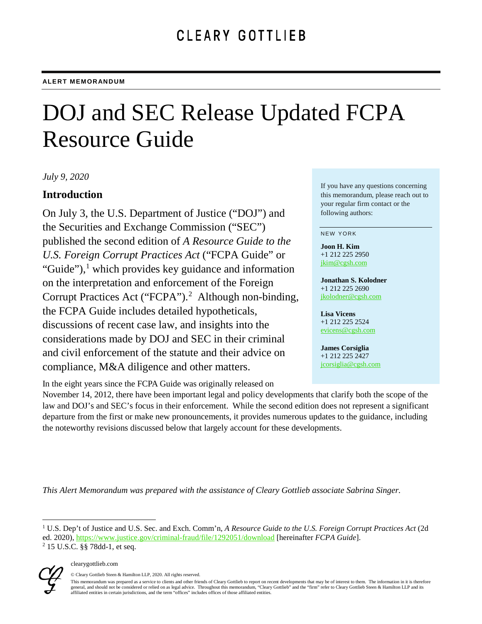# DOJ and SEC Release Updated FCPA Resource Guide

*July 9, 2020*

# **Introduction**

On July 3, the U.S. Department of Justice ("DOJ") and the Securities and Exchange Commission ("SEC") published the second edition of *A Resource Guide to the U.S. Foreign Corrupt Practices Act* ("FCPA Guide" or "Guide"), $\frac{1}{2}$  $\frac{1}{2}$  $\frac{1}{2}$  which provides key guidance and information on the interpretation and enforcement of the Foreign Corrupt Practices Act ("FCPA").<sup>[2](#page-0-1)</sup> Although non-binding, the FCPA Guide includes detailed hypotheticals, discussions of recent case law, and insights into the considerations made by DOJ and SEC in their criminal and civil enforcement of the statute and their advice on compliance, M&A diligence and other matters.

In the eight years since the FCPA Guide was originally released on

If you have any questions concerning this memorandum, please reach out to your regular firm contact or the following authors:

#### NEW YORK

**Joon H. Kim** +1 212 225 2950 [jkim@cgsh.com](mailto:jkim@cgsh.com)

**Jonathan S. Kolodner** +1 212 225 2690 [jkolodner@cgsh.com](mailto:jkolodner@cgsh.com)

#### **Lisa Vicens** +1 212 225 2524

[evicens@cgsh.com](mailto:evicens@cgsh.com)

#### **James Corsiglia** +1 212 225 2427

[jcorsiglia@cgsh.com](mailto:jcorsiglia@cgsh.com)

November 14, 2012, there have been important legal and policy developments that clarify both the scope of the law and DOJ's and SEC's focus in their enforcement. While the second edition does not represent a significant departure from the first or make new pronouncements, it provides numerous updates to the guidance, including the noteworthy revisions discussed below that largely account for these developments.

*This Alert Memorandum was prepared with the assistance of Cleary Gottlieb associate Sabrina Singer.*

<span id="page-0-1"></span><span id="page-0-0"></span> <sup>1</sup> U.S. Dep't of Justice and U.S. Sec. and Exch. Comm'n, *A Resource Guide to the U.S. Foreign Corrupt Practices Act* (2d ed. 2020), https://www.justice.gov/criminal-fraud/file/1292051/download [hereinafter *FCPA Guide*]. <sup>2</sup> 15 U.S.C. §§ 78dd-1, et seq.



© Cleary Gottlieb Steen & Hamilton LLP, 2020. All rights reserved.

This memorandum was prepared as a service to clients and other friends of Cleary Gottlieb to report on recent developments that may be of interest to them. The information in it is therefore general, and should not be considered or relied on as legal advice. Throughout this memorandum, "Cleary Gottlieb" and the "firm" refer to Cleary Gottlieb Steen & Hamilton LLP and its<br>affiliated entities in certain jurisdic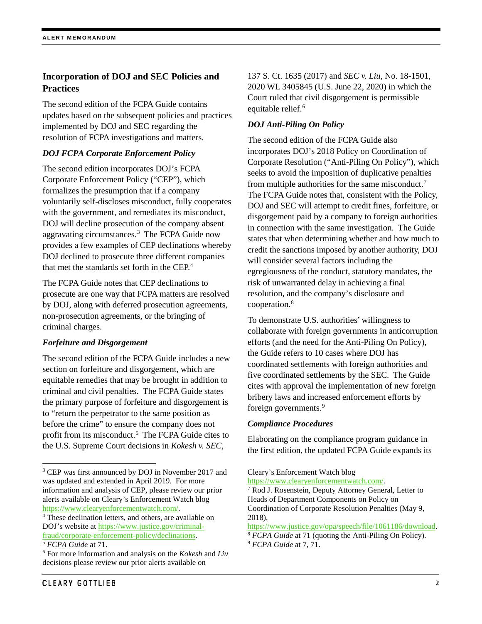# **Incorporation of DOJ and SEC Policies and Practices**

The second edition of the FCPA Guide contains updates based on the subsequent policies and practices implemented by DOJ and SEC regarding the resolution of FCPA investigations and matters.

#### *DOJ FCPA Corporate Enforcement Policy*

The second edition incorporates DOJ's FCPA Corporate Enforcement Policy ("CEP"), which formalizes the presumption that if a company voluntarily self-discloses misconduct, fully cooperates with the government, and remediates its misconduct, DOJ will decline prosecution of the company absent aggravating circumstances.[3](#page-1-0) The FCPA Guide now provides a few examples of CEP declinations whereby DOJ declined to prosecute three different companies that met the standards set forth in the CEP.<sup>[4](#page-1-1)</sup>

The FCPA Guide notes that CEP declinations to prosecute are one way that FCPA matters are resolved by DOJ, along with deferred prosecution agreements, non-prosecution agreements, or the bringing of criminal charges.

#### *Forfeiture and Disgorgement*

The second edition of the FCPA Guide includes a new section on forfeiture and disgorgement, which are equitable remedies that may be brought in addition to criminal and civil penalties. The FCPA Guide states the primary purpose of forfeiture and disgorgement is to "return the perpetrator to the same position as before the crime" to ensure the company does not profit from its misconduct.<sup>5</sup> The FCPA Guide cites to the U.S. Supreme Court decisions in *Kokesh v. SEC*,

137 S. Ct. 1635 (2017) and *SEC v. Liu*, No. 18-1501, 2020 WL 3405845 (U.S. June 22, 2020) in which the Court ruled that civil disgorgement is permissible equitable relief.<sup>[6](#page-1-3)</sup>

## *DOJ Anti-Piling On Policy*

The second edition of the FCPA Guide also incorporates DOJ's 2018 Policy on Coordination of Corporate Resolution ("Anti-Piling On Policy"), which seeks to avoid the imposition of duplicative penalties from multiple authorities for the same misconduct.<sup>7</sup> The FCPA Guide notes that, consistent with the Policy, DOJ and SEC will attempt to credit fines, forfeiture, or disgorgement paid by a company to foreign authorities in connection with the same investigation. The Guide states that when determining whether and how much to credit the sanctions imposed by another authority, DOJ will consider several factors including the egregiousness of the conduct, statutory mandates, the risk of unwarranted delay in achieving a final resolution, and the company's disclosure and cooperation.[8](#page-1-5)

To demonstrate U.S. authorities' willingness to collaborate with foreign governments in anticorruption efforts (and the need for the Anti-Piling On Policy), the Guide refers to 10 cases where DOJ has coordinated settlements with foreign authorities and five coordinated settlements by the SEC. The Guide cites with approval the implementation of new foreign bribery laws and increased enforcement efforts by foreign governments.<sup>[9](#page-1-2)</sup>

#### *Compliance Procedures*

Elaborating on the compliance program guidance in the first edition, the updated FCPA Guide expands its

[https://www.clearyenforcementwatch.com/.](https://www.clearyenforcementwatch.com/)

<span id="page-1-4"></span><span id="page-1-0"></span><sup>&</sup>lt;sup>3</sup> CEP was first announced by DOJ in November 2017 and was updated and extended in April 2019. For more information and analysis of CEP, please review our prior alerts available on Cleary's Enforcement Watch blog [https://www.clearyenforcementwatch.com/.](https://www.clearyenforcementwatch.com/) 4 These declination letters, and others, are available on

<span id="page-1-1"></span>DOJ's website at [https://www.justice.gov/criminal](https://www.justice.gov/criminal-fraud/corporate-enforcement-policy/declinations)[fraud/corporate-enforcement-policy/declinations.](https://www.justice.gov/criminal-fraud/corporate-enforcement-policy/declinations) 5 *FCPA Guide* at 71. 6 For more information and analysis on the *Kokesh* and *Liu*

<span id="page-1-5"></span><span id="page-1-2"></span>

<span id="page-1-3"></span>decisions please review our prior alerts available on

Cleary's Enforcement Watch blog

<sup>7</sup> Rod J. Rosenstein, Deputy Attorney General, Letter to Heads of Department Components on Policy on Coordination of Corporate Resolution Penalties (May 9,

<sup>2018),&</sup>lt;br>https://www.justice.gov/opa/speech/file/1061186/download.

<sup>&</sup>lt;sup>8</sup> *FCPA Guide* at 71 (quoting the Anti-Piling On Policy).

<sup>9</sup> *FCPA Guide* at 7, 71.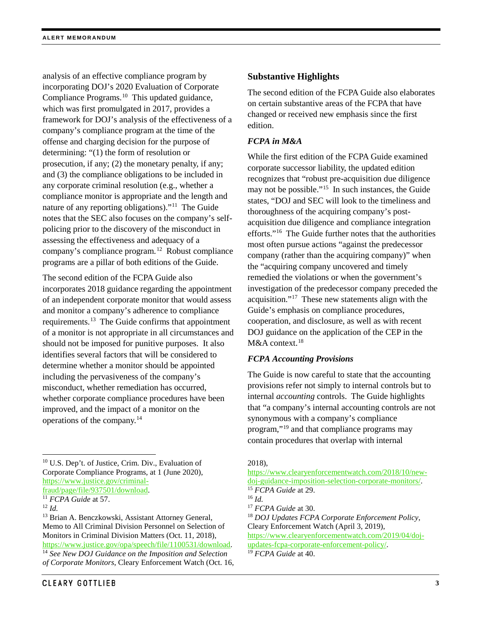analysis of an effective compliance program by incorporating DOJ's 2020 Evaluation of Corporate Compliance Programs.<sup>[10](#page-2-0)</sup> This updated guidance, which was first promulgated in 2017, provides a framework for DOJ's analysis of the effectiveness of a company's compliance program at the time of the offense and charging decision for the purpose of determining: "(1) the form of resolution or prosecution, if any; (2) the monetary penalty, if any; and (3) the compliance obligations to be included in any corporate criminal resolution (e.g., whether a compliance monitor is appropriate and the length and nature of any reporting obligations)."[11](#page-2-1) The Guide notes that the SEC also focuses on the company's selfpolicing prior to the discovery of the misconduct in assessing the effectiveness and adequacy of a company's compliance program.[12](#page-2-2) Robust compliance programs are a pillar of both editions of the Guide.

The second edition of the FCPA Guide also incorporates 2018 guidance regarding the appointment of an independent corporate monitor that would assess and monitor a company's adherence to compliance requirements.[13](#page-2-3) The Guide confirms that appointment of a monitor is not appropriate in all circumstances and should not be imposed for punitive purposes. It also identifies several factors that will be considered to determine whether a monitor should be appointed including the pervasiveness of the company's misconduct, whether remediation has occurred, whether corporate compliance procedures have been improved, and the impact of a monitor on the operations of the company.[14](#page-2-4)

<span id="page-2-5"></span><span id="page-2-1"></span>[fraud/page/file/937501/download.](https://www.justice.gov/criminal-fraud/page/file/937501/download) 11 *FCPA Guide* at 57.

<span id="page-2-4"></span><span id="page-2-3"></span><sup>13</sup> Brian A. Benczkowski, Assistant Attorney General, Memo to All Criminal Division Personnel on Selection of Monitors in Criminal Division Matters (Oct. 11, 2018), [https://www.justice.gov/opa/speech/file/1100531/download.](https://www.justice.gov/opa/speech/file/1100531/download) 14 *See New DOJ Guidance on the Imposition and Selection of Corporate Monitors*, Cleary Enforcement Watch (Oct. 16,

# **Substantive Highlights**

The second edition of the FCPA Guide also elaborates on certain substantive areas of the FCPA that have changed or received new emphasis since the first edition.

## *FCPA in M&A*

While the first edition of the FCPA Guide examined corporate successor liability, the updated edition recognizes that "robust pre-acquisition due diligence may not be possible."[15](#page-2-5) In such instances, the Guide states, "DOJ and SEC will look to the timeliness and thoroughness of the acquiring company's postacquisition due diligence and compliance integration efforts."[16](#page-2-1) The Guide further notes that the authorities most often pursue actions "against the predecessor company (rather than the acquiring company)" when the "acquiring company uncovered and timely remedied the violations or when the government's investigation of the predecessor company preceded the acquisition."[17](#page-2-2) These new statements align with the Guide's emphasis on compliance procedures, cooperation, and disclosure, as well as with recent DOJ guidance on the application of the CEP in the M&A context. [18](#page-2-3)

## *FCPA Accounting Provisions*

The Guide is now careful to state that the accounting provisions refer not simply to internal controls but to internal *accounting* controls. The Guide highlights that "a company's internal accounting controls are not synonymous with a company's compliance program,"[19](#page-2-4) and that compliance programs may contain procedures that overlap with internal

2018),

<span id="page-2-0"></span> <sup>10</sup> U.S. Dep't. of Justice, Crim. Div., Evaluation of Corporate Compliance Programs, at 1 (June 2020), [https://www.justice.gov/criminal-](https://www.justice.gov/criminal-fraud/page/file/937501/download)

<span id="page-2-2"></span><sup>12</sup> *Id.*

[https://www.clearyenforcementwatch.com/2018/10/new](https://www.clearyenforcementwatch.com/2018/10/new-doj-guidance-imposition-selection-corporate-monitors/)[doj-guidance-imposition-selection-corporate-monitors/.](https://www.clearyenforcementwatch.com/2018/10/new-doj-guidance-imposition-selection-corporate-monitors/) <sup>15</sup> *FCPA Guide* at 29. <sup>16</sup> *Id.*<br><sup>17</sup> *FCPA Guide* at 30. <sup>18</sup> *DOJ Updates FCPA Corporate Enforcement Policy*, Cleary Enforcement Watch (April 3, 2019), [https://www.clearyenforcementwatch.com/2019/04/doj](https://www.clearyenforcementwatch.com/2019/04/doj-updates-fcpa-corporate-enforcement-policy/)[updates-fcpa-corporate-enforcement-policy/.](https://www.clearyenforcementwatch.com/2019/04/doj-updates-fcpa-corporate-enforcement-policy/)

<sup>19</sup> *FCPA Guide* at 40.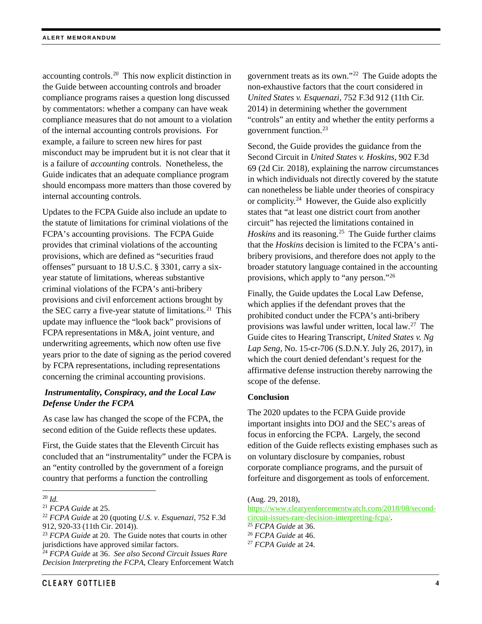accounting controls.[20](#page-3-0) This now explicit distinction in the Guide between accounting controls and broader compliance programs raises a question long discussed by commentators: whether a company can have weak compliance measures that do not amount to a violation of the internal accounting controls provisions. For example, a failure to screen new hires for past misconduct may be imprudent but it is not clear that it is a failure of *accounting* controls. Nonetheless, the Guide indicates that an adequate compliance program should encompass more matters than those covered by internal accounting controls.

Updates to the FCPA Guide also include an update to the statute of limitations for criminal violations of the FCPA's accounting provisions. The FCPA Guide provides that criminal violations of the accounting provisions, which are defined as "securities fraud offenses" pursuant to 18 U.S.C. § 3301, carry a sixyear statute of limitations, whereas substantive criminal violations of the FCPA's anti-bribery provisions and civil enforcement actions brought by the SEC carry a five-year statute of limitations.<sup>[21](#page-3-1)</sup> This update may influence the "look back" provisions of FCPA representations in M&A, joint venture, and underwriting agreements, which now often use five years prior to the date of signing as the period covered by FCPA representations, including representations concerning the criminal accounting provisions.

## *Instrumentality, Conspiracy, and the Local Law Defense Under the FCPA*

As case law has changed the scope of the FCPA, the second edition of the Guide reflects these updates.

First, the Guide states that the Eleventh Circuit has concluded that an "instrumentality" under the FCPA is an "entity controlled by the government of a foreign country that performs a function the controlling

**CLEARY GOTTLIEB** 

government treats as its own."[22](#page-3-2) The Guide adopts the non-exhaustive factors that the court considered in *United States v. Esquenazi*, 752 F.3d 912 (11th Cir. 2014) in determining whether the government "controls" an entity and whether the entity performs a government function.[23](#page-3-3)

Second, the Guide provides the guidance from the Second Circuit in *United States v. Hoskins*, 902 F.3d 69 (2d Cir. 2018), explaining the narrow circumstances in which individuals not directly covered by the statute can nonetheless be liable under theories of conspiracy or complicity. $24$  However, the Guide also explicitly states that "at least one district court from another circuit" has rejected the limitations contained in *Hoskins* and its reasoning.<sup>25</sup> The Guide further claims that the *Hoskins* decision is limited to the FCPA's antibribery provisions, and therefore does not apply to the broader statutory language contained in the accounting provisions, which apply to "any person."[26](#page-3-3)

Finally, the Guide updates the Local Law Defense, which applies if the defendant proves that the prohibited conduct under the FCPA's anti-bribery provisions was lawful under written, local law. [27](#page-3-6) The Guide cites to Hearing Transcript, *United States v. Ng Lap Seng*, No. 15-cr-706 (S.D.N.Y. July 26, 2017), in which the court denied defendant's request for the affirmative defense instruction thereby narrowing the scope of the defense.

#### **Conclusion**

The 2020 updates to the FCPA Guide provide important insights into DOJ and the SEC's areas of focus in enforcing the FCPA. Largely, the second edition of the Guide reflects existing emphases such as on voluntary disclosure by companies, robust corporate compliance programs, and the pursuit of forfeiture and disgorgement as tools of enforcement.

(Aug. 29, 2018),

[https://www.clearyenforcementwatch.com/2018/08/second](https://www.clearyenforcementwatch.com/2018/08/second-circuit-issues-rare-decision-interpreting-fcpa/)[circuit-issues-rare-decision-interpreting-fcpa/.](https://www.clearyenforcementwatch.com/2018/08/second-circuit-issues-rare-decision-interpreting-fcpa/)

<span id="page-3-0"></span> <sup>20</sup> *Id.*

<span id="page-3-1"></span><sup>21</sup> *FCPA Guide* at 25.

<span id="page-3-5"></span><span id="page-3-2"></span><sup>22</sup> *FCPA Guide* at 20 (quoting *U.S. v. Esquenazi*, 752 F.3d 912, 920-33 (11th Cir. 2014)).

<span id="page-3-6"></span><span id="page-3-3"></span><sup>23</sup> *FCPA Guide* at 20. The Guide notes that courts in other jurisdictions have approved similar factors.

<span id="page-3-4"></span><sup>24</sup> *FCPA Guide* at 36. *See also Second Circuit Issues Rare Decision Interpreting the FCPA*, Cleary Enforcement Watch

<sup>25</sup> *FCPA Guide* at 36.

<sup>26</sup> *FCPA Guide* at 46.

<sup>27</sup> *FCPA Guide* at 24.